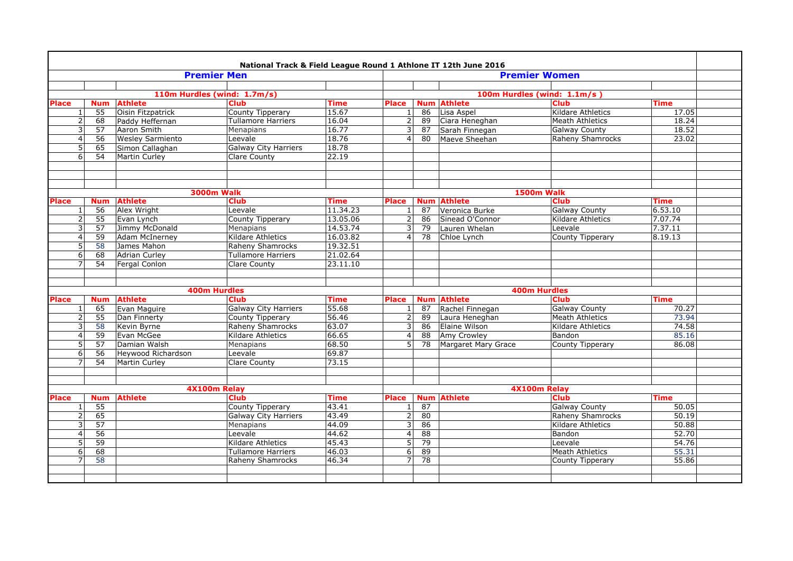|              |                |                 |                         | National Track & Field League Round 1 Athlone IT 12th June 2016 |             |                 |            |                      |                            |             |  |
|--------------|----------------|-----------------|-------------------------|-----------------------------------------------------------------|-------------|-----------------|------------|----------------------|----------------------------|-------------|--|
|              |                |                 |                         | <b>Premier Men</b>                                              |             |                 |            |                      | <b>Premier Women</b>       |             |  |
|              |                |                 |                         |                                                                 |             |                 |            |                      |                            |             |  |
|              |                |                 |                         | 110m Hurdles (wind: 1.7m/s)                                     |             |                 |            |                      | 100m Hurdles (wind: 1.1m/s |             |  |
| <b>Place</b> |                | <b>Num</b>      | <b>Athlete</b>          | <b>Club</b>                                                     | <b>Time</b> | <b>Place</b>    |            | <b>Num Athlete</b>   | <b>Club</b>                | <b>Time</b> |  |
|              | $\mathbf{1}$   | $\overline{55}$ | Oisin Fitzpatrick       | County Tipperary                                                | 15.67       | $\mathbf{1}$    | 86         | Lisa Aspel           | Kildare Athletics          | 17.05       |  |
|              | $\overline{2}$ | 68              | Paddy Heffernan         | <b>Tullamore Harriers</b>                                       | 16.04       | 2               | 89         | Ciara Heneghan       | <b>Meath Athletics</b>     | 18.24       |  |
|              | 3              | 57              | Aaron Smith             | <b>Menapians</b>                                                | 16.77       | 3               | 87         | Sarah Finnegan       | <b>Galway County</b>       | 18.52       |  |
|              | $\overline{4}$ | 56              | <b>Wesley Sarmiento</b> | Leevale                                                         | 18.76       | $\vert 4 \vert$ | 80         | Maeve Sheehan        | Raheny Shamrocks           | 23.02       |  |
|              | 5              | 65              | Simon Callaghan         | <b>Galway City Harriers</b>                                     | 18.78       |                 |            |                      |                            |             |  |
|              | 6              | 54              | Martin Curley           | Clare County                                                    | 22.19       |                 |            |                      |                            |             |  |
|              |                |                 |                         |                                                                 |             |                 |            |                      |                            |             |  |
|              |                |                 |                         |                                                                 |             |                 |            |                      |                            |             |  |
|              |                |                 |                         | <b>3000m Walk</b>                                               |             |                 |            |                      | <b>1500m Walk</b>          |             |  |
| <b>Place</b> |                | <b>Num</b>      | <b>Athlete</b>          | <b>Club</b>                                                     | <b>Time</b> | <b>Place</b>    | <b>Num</b> | <b>Athlete</b>       | <b>Club</b>                | <b>Time</b> |  |
|              | $\mathbf{1}$   | 56              | Alex Wright             | Leevale                                                         | 11.34.23    | $\mathbf{1}$    | 87         | Veronica Burke       | <b>Galway County</b>       | 6.53.10     |  |
|              | $\overline{2}$ | 55              | Evan Lynch              | County Tipperary                                                | 13.05.06    | 2               | 86         | Sinead O'Connor      | <b>Kildare Athletics</b>   | 7.07.74     |  |
|              | 3              | 57              | Jimmy McDonald          | Menapians                                                       | 14.53.74    | 3               | 79         | Lauren Whelan        | Leevale                    | 7.37.11     |  |
|              | $\overline{4}$ | 59              | <b>Adam McInerney</b>   | Kildare Athletics                                               | 16.03.82    | 4               | 78         | Chloe Lynch          | County Tipperary           | 8.19.13     |  |
|              | 5              | 58              | James Mahon             | <b>Raheny Shamrocks</b>                                         | 19.32.51    |                 |            |                      |                            |             |  |
|              | 6              | 68              | <b>Adrian Curley</b>    | <b>Tullamore Harriers</b>                                       | 21.02.64    |                 |            |                      |                            |             |  |
|              | 7              | 54              | Fergal Conlon           | Clare County                                                    | 23.11.10    |                 |            |                      |                            |             |  |
|              |                |                 |                         |                                                                 |             |                 |            |                      |                            |             |  |
|              |                |                 |                         | <b>400m Hurdles</b>                                             |             |                 |            |                      | <b>400m Hurdles</b>        |             |  |
| <b>Place</b> |                | <b>Num</b>      | <b>Athlete</b>          | <b>Club</b>                                                     | <b>Time</b> | <b>Place</b>    | <b>Num</b> | <b>Athlete</b>       | <b>Club</b>                | <b>Time</b> |  |
|              | $\mathbf{1}$   | 65              | Evan Maguire            | <b>Galway City Harriers</b>                                     | 55.68       | $\mathbf{1}$    | 87         | Rachel Finnegan      | <b>Galway County</b>       | 70.27       |  |
|              | $\overline{2}$ | 55              | Dan Finnerty            | County Tipperary                                                | 56.46       | 2               | 89         | Laura Heneghan       | <b>Meath Athletics</b>     | 73.94       |  |
|              | 3              | 58              | Kevin Byrne             | Raheny Shamrocks                                                | 63.07       | 3               | 86         | <b>Elaine Wilson</b> | Kildare Athletics          | 74.58       |  |
|              | $\overline{4}$ | 59              | Evan McGee              | Kildare Athletics                                               | 66.65       | 4               | 88         | <b>Amy Crowley</b>   | Bandon                     | 85.16       |  |
|              | 5              | 57              | Damian Walsh            | Menapians                                                       | 68.50       | 5               | 78         | Margaret Mary Grace  | County Tipperary           | 86.08       |  |
|              | 6              | 56              | Hevwood Richardson      | Leevale                                                         | 69.87       |                 |            |                      |                            |             |  |
|              | $\overline{7}$ | 54              | Martin Curley           | <b>Clare County</b>                                             | 73.15       |                 |            |                      |                            |             |  |
|              |                |                 |                         |                                                                 |             |                 |            |                      |                            |             |  |
|              |                |                 |                         |                                                                 |             |                 |            |                      |                            |             |  |
|              |                |                 |                         | 4X100m Relay                                                    |             |                 |            |                      | 4X100m Relay               |             |  |
| <b>Place</b> |                | <b>Num</b>      | <b>Athlete</b>          | <b>Club</b>                                                     | <b>Time</b> | <b>Place</b>    |            | <b>Num Athlete</b>   | <b>Club</b>                | <b>Time</b> |  |
|              | $\mathbf{1}$   | 55              |                         | County Tipperary                                                | 43.41       | $\mathbf{1}$    | 87         |                      | <b>Galway County</b>       | 50.05       |  |
|              | $\overline{2}$ | 65              |                         | <b>Galway City Harriers</b>                                     | 43.49       | 2               | 80         |                      | Raheny Shamrocks           | 50.19       |  |
|              | 3              | 57              |                         | Menapians                                                       | 44.09       | 3               | 86         |                      | Kildare Athletics          | 50.88       |  |
|              | $\overline{4}$ | 56              |                         | Leevale                                                         | 44.62       | 4               | 88         |                      | Bandon                     | 52.70       |  |
|              | 5              | 59              |                         | <b>Kildare Athletics</b>                                        | 45.43       | 51              | 79         |                      | Leevale                    | 54.76       |  |
|              | 6              | 68              |                         | <b>Tullamore Harriers</b>                                       | 46.03       | 6               | 89         |                      | <b>Meath Athletics</b>     | 55.31       |  |
|              | $\overline{7}$ | 58              |                         | <b>Raheny Shamrocks</b>                                         | 46.34       | $\overline{7}$  | 78         |                      | County Tipperary           | 55.86       |  |
|              |                |                 |                         |                                                                 |             |                 |            |                      |                            |             |  |
|              |                |                 |                         |                                                                 |             |                 |            |                      |                            |             |  |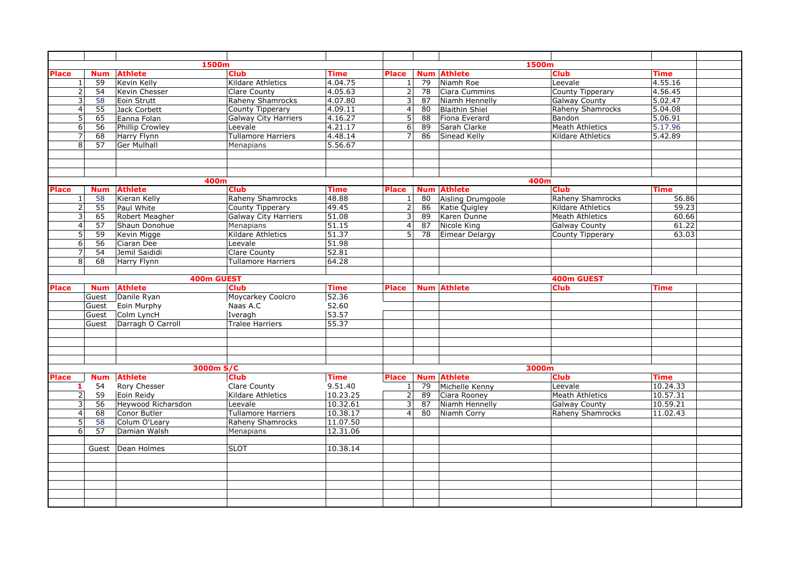|                |                 |                    | 1500m                       |             |                         |            |                       | 1500m                    |             |  |
|----------------|-----------------|--------------------|-----------------------------|-------------|-------------------------|------------|-----------------------|--------------------------|-------------|--|
| <b>Place</b>   | <b>Num</b>      | <b>Athlete</b>     | <b>Club</b>                 | Time        | <b>Place</b>            | <b>Num</b> | <b>Athlete</b>        | <b>Club</b>              | <b>Time</b> |  |
| $\mathbf{1}$   | 59              | <b>Kevin Kelly</b> | Kildare Athletics           | 4.04.75     |                         | 79         | Niamh Roe             | Leevale                  | 4.55.16     |  |
| $\overline{2}$ | 54              | Kevin Chesser      | <b>Clare County</b>         | 4.05.63     | $\overline{2}$          | 78         | Ciara Cummins         | County Tipperary         | 4.56.45     |  |
| 3              | 58              | Eoin Strutt        | <b>Raheny Shamrocks</b>     | 4.07.80     | $\overline{\mathbf{3}}$ | 87         | Niamh Hennelly        | <b>Galway County</b>     | 5.02.47     |  |
| $\overline{4}$ | 55              | Jack Corbett       | County Tipperary            | 4.09.11     | $\overline{4}$          | 80         | <b>Blaithin Shiel</b> | Raheny Shamrocks         | 5.04.08     |  |
| 5              | 65              | Eanna Folan        | <b>Galway City Harriers</b> | 4.16.27     | 5                       | 88         | Fiona Everard         | Bandon                   | 5.06.91     |  |
| 6              | 56              | Phillip Crowley    | Leevale                     | 4.21.17     | 6 <sup>1</sup>          | 89         | Sarah Clarke          | <b>Meath Athletics</b>   | 5.17.96     |  |
| $\overline{7}$ | $\overline{68}$ | Harry Flynn        | <b>Tullamore Harriers</b>   | 4.48.14     | $\overline{7}$          | 86         | Sinead Kelly          | <b>Kildare Athletics</b> | 5.42.89     |  |
| 8              | 57              | <b>Ger Mulhall</b> | Menapians                   | 5.56.67     |                         |            |                       |                          |             |  |
|                |                 |                    |                             |             |                         |            |                       |                          |             |  |
|                |                 |                    |                             |             |                         |            |                       |                          |             |  |
|                |                 |                    |                             |             |                         |            |                       |                          |             |  |
|                |                 |                    | 400m                        |             |                         |            |                       | 400m                     |             |  |
| <b>Place</b>   | <b>Num</b>      | <b>Athlete</b>     | <b>Club</b>                 | <b>Time</b> | <b>Place</b>            | <b>Num</b> | <b>Athlete</b>        | <b>Club</b>              | <b>Time</b> |  |
| $1\,$          | 58              | Kieran Kelly       | Raheny Shamrocks            | 48.88       | $\mathbf{1}$            | 80         | Aisling Drumgoole     | Raheny Shamrocks         | 56.86       |  |
| $\overline{2}$ | $\overline{55}$ | Paul White         | County Tipperary            | 49.45       | $\overline{2}$          | 86         | Katie Quigley         | <b>Kildare Athletics</b> | 59.23       |  |
| 3              | 65              | Robert Meagher     | Galway City Harriers        | 51.08       | $\overline{3}$          | 89         | Karen Dunne           | <b>Meath Athletics</b>   | 60.66       |  |
| $\overline{4}$ | 57              | Shaun Donohue      | <b>Menapians</b>            | 51.15       | $\overline{4}$          | 87         | Nicole King           | <b>Galway County</b>     | 61.22       |  |
| 5              | 59              | Kevin Migge        | Kildare Athletics           | 51.37       | 5 <sup>1</sup>          | 78         | Eimear Delargy        | <b>County Tipperary</b>  | 63.03       |  |
| 6              | 56              | Ciaran Dee         | Leevale                     | 51.98       |                         |            |                       |                          |             |  |
| $\overline{7}$ | 54              | Jemil Saididi      | <b>Clare County</b>         | 52.81       |                         |            |                       |                          |             |  |
| 8              | 68              | Harry Flynn        | <b>Tullamore Harriers</b>   | 64.28       |                         |            |                       |                          |             |  |
|                |                 |                    |                             |             |                         |            |                       |                          |             |  |
|                |                 |                    | 400m GUEST                  |             |                         |            |                       | 400m GUEST               |             |  |
| Place          | <b>Num</b>      | <b>Athlete</b>     | <b>Club</b>                 | <b>Time</b> | <b>Place</b>            |            | <b>Num Athlete</b>    | <b>Club</b>              | <b>Time</b> |  |
|                | Guest           | Danile Ryan        | Moycarkey Coolcro           | 52.36       |                         |            |                       |                          |             |  |
|                | Guest           | Eoin Murphy        | Naas A.C                    | 52.60       |                         |            |                       |                          |             |  |
|                | Guest           | Colm LyncH         | Iveragh                     | 53.57       |                         |            |                       |                          |             |  |
|                | Guest           | Darragh O Carroll  | <b>Tralee Harriers</b>      | 55.37       |                         |            |                       |                          |             |  |
|                |                 |                    |                             |             |                         |            |                       |                          |             |  |
|                |                 |                    |                             |             |                         |            |                       |                          |             |  |
|                |                 |                    |                             |             |                         |            |                       |                          |             |  |
|                |                 |                    |                             |             |                         |            |                       |                          |             |  |
|                |                 |                    | 3000m S/C                   |             |                         |            |                       | 3000m                    |             |  |
| <b>Place</b>   | <b>Num</b>      | <b>Athlete</b>     | <b>Club</b>                 | Time        | <b>Place</b>            | <b>Num</b> | <b>Athlete</b>        | <b>Club</b>              | <b>Time</b> |  |
| 1              | 54              | Rory Chesser       | Clare County                | 9.51.40     | 1                       | 79         | Michelle Kenny        | Leevale                  | 10.24.33    |  |
| $\overline{2}$ | 59              | Eoin Reidy         | Kildare Athletics           | 10.23.25    | $\overline{2}$          | 89         | Ciara Rooney          | <b>Meath Athletics</b>   | 10.57.31    |  |
| $\overline{3}$ | 56              | Heywood Richarsdon | Leevale                     | 10.32.61    | $\overline{3}$          | 87         | Niamh Hennelly        | <b>Galway County</b>     | 10.59.21    |  |
| $\overline{4}$ | 68              | Conor Butler       | <b>Tullamore Harriers</b>   | 10.38.17    | 4 <sup>1</sup>          | 80         | Niamh Corry           | Raheny Shamrocks         | 11.02.43    |  |
| 5              | 58              | Colum O'Leary      | <b>Raheny Shamrocks</b>     | 11.07.50    |                         |            |                       |                          |             |  |
| 6              | 57              | Damian Walsh       | Menapians                   | 12.31.06    |                         |            |                       |                          |             |  |
|                |                 |                    |                             |             |                         |            |                       |                          |             |  |
|                | Guest           | Dean Holmes        | <b>SLOT</b>                 | 10.38.14    |                         |            |                       |                          |             |  |
|                |                 |                    |                             |             |                         |            |                       |                          |             |  |
|                |                 |                    |                             |             |                         |            |                       |                          |             |  |
|                |                 |                    |                             |             |                         |            |                       |                          |             |  |
|                |                 |                    |                             |             |                         |            |                       |                          |             |  |
|                |                 |                    |                             |             |                         |            |                       |                          |             |  |
|                |                 |                    |                             |             |                         |            |                       |                          |             |  |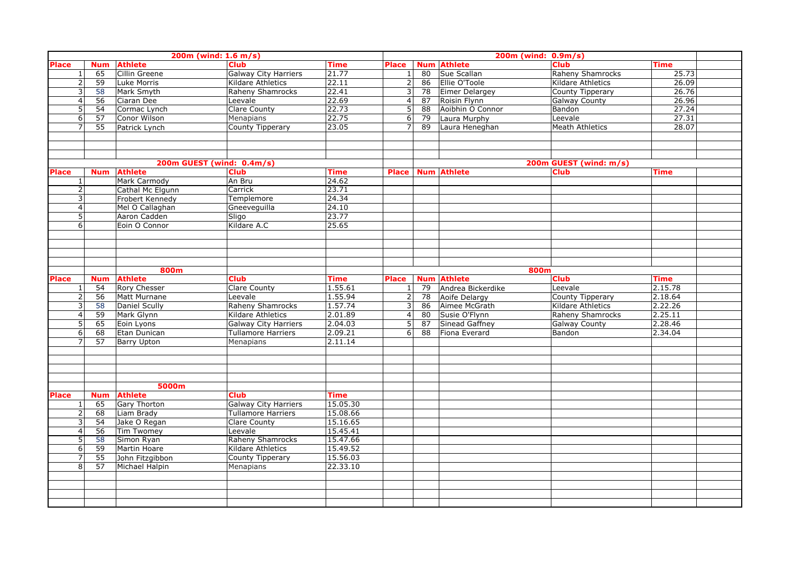|                |                               |                                       | 200m (wind: 1.6 m/s)        |                        |                         |                 |                    | 200m (wind: 0.9m/s)     |             |  |
|----------------|-------------------------------|---------------------------------------|-----------------------------|------------------------|-------------------------|-----------------|--------------------|-------------------------|-------------|--|
| <b>Place</b>   | <b>Num</b>                    | <b>Athlete</b>                        | <b>Club</b>                 | <b>Time</b>            | <b>Place</b>            |                 | <b>Num Athlete</b> | <b>Club</b>             | <b>Time</b> |  |
| $\mathbf{1}$   | 65                            | Cillin Greene                         | <b>Galway City Harriers</b> | 21.77                  | $\mathbf{1}$            | 80              | Sue Scallan        | <b>Raheny Shamrocks</b> | 25.73       |  |
| $\overline{2}$ | 59                            | Luke Morris                           | Kildare Athletics           | 22.11                  | $\overline{2}$          | 86              | Ellie O'Toole      | Kildare Athletics       | 26.09       |  |
| 3              | 58                            | Mark Smyth                            | Raheny Shamrocks            | 22.41                  | 3 <sup>1</sup>          | 78              | Eimer Delargey     | County Tipperary        | 26.76       |  |
| $\overline{4}$ | 56                            | Ciaran Dee                            | Leevale                     | 22.69                  | 4 <sup>1</sup>          | 87              | Roisin Flynn       | <b>Galway County</b>    | 26.96       |  |
| 5              | 54                            | Cormac Lynch                          | Clare County                | 22.73                  | 5                       | $\overline{88}$ | Aoibhin O Connor   | Bandon                  | 27.24       |  |
| 6              | 57                            | Conor Wilson                          | <b>Menapians</b>            | 22.75                  | 6                       | 79              | Laura Murphy       | Leevale                 | 27.31       |  |
| $\overline{7}$ | 55                            | Patrick Lynch                         | <b>County Tipperary</b>     | 23.05                  | $\overline{7}$          | 89              | Laura Heneghan     | <b>Meath Athletics</b>  | 28.07       |  |
|                |                               |                                       |                             |                        |                         |                 |                    |                         |             |  |
|                |                               |                                       |                             |                        |                         |                 |                    |                         |             |  |
|                |                               |                                       |                             |                        |                         |                 |                    |                         |             |  |
|                |                               |                                       | 200m GUEST (wind: 0.4m/s)   |                        |                         |                 |                    | 200m GUEST (wind: m/s)  |             |  |
| <b>Place</b>   | <b>Num</b>                    | <b>Athlete</b>                        | <b>Club</b>                 | <b>Time</b>            | Place                   |                 | <b>Num Athlete</b> | <b>Club</b>             | <b>Time</b> |  |
| $\mathbf{1}$   |                               | Mark Carmody                          | An Bru                      | 24.62                  |                         |                 |                    |                         |             |  |
| $\overline{2}$ |                               | Cathal Mc Elgunn                      | Carrick                     | 23.71                  |                         |                 |                    |                         |             |  |
| 3              |                               | Frobert Kennedy                       | Templemore                  | 24.34                  |                         |                 |                    |                         |             |  |
| $\overline{4}$ |                               | Mel O Callaghan                       | Gneeveguilla                | 24.10                  |                         |                 |                    |                         |             |  |
| 5              |                               | Aaron Cadden                          | Sligo                       | 23.77                  |                         |                 |                    |                         |             |  |
| $\overline{6}$ |                               | Eoin O Connor                         | Kildare A.C                 | 25.65                  |                         |                 |                    |                         |             |  |
|                |                               |                                       |                             |                        |                         |                 |                    |                         |             |  |
|                |                               |                                       |                             |                        |                         |                 |                    |                         |             |  |
|                |                               |                                       |                             |                        |                         |                 |                    |                         |             |  |
|                |                               |                                       |                             |                        |                         |                 |                    |                         |             |  |
| <b>Place</b>   |                               | 800m                                  | <b>Club</b>                 |                        |                         |                 | <b>Num Athlete</b> | 800m<br><b>Club</b>     | <b>Time</b> |  |
| $\mathbf{1}$   | <b>Num</b><br>$\overline{54}$ | <b>Athlete</b><br><b>Rory Chesser</b> | <b>Clare County</b>         | <b>Time</b><br>1.55.61 | Place<br>1 <sup>1</sup> | 79              | Andrea Bickerdike  | Leevale                 | 2.15.78     |  |
| $\overline{2}$ | 56                            | Matt Murnane                          | Leevale                     | 1.55.94                | 2                       | 78              | Aoife Delargy      | County Tipperary        | 2.18.64     |  |
| 3              | 58                            | Daniel Scully                         | Raheny Shamrocks            | 1.57.74                | $\overline{\mathbf{3}}$ | 86              | Aimee McGrath      | Kildare Athletics       | 2.22.26     |  |
| $\overline{4}$ | 59                            | Mark Glynn                            | Kildare Athletics           | 2.01.89                | 4                       | 80              | Susie O'Flynn      | Raheny Shamrocks        | 2.25.11     |  |
| 5              | 65                            | Eoin Lyons                            | <b>Galway City Harriers</b> | 2.04.03                | 5 <sup>1</sup>          | 87              | Sinead Gaffney     | Galway County           | 2.28.46     |  |
| 6              | 68                            | Etan Dunican                          | <b>Tullamore Harriers</b>   | 2.09.21                | 6                       | 88              | Fiona Everard      | Bandon                  | 2.34.04     |  |
| $\overline{7}$ | 57                            | <b>Barry Upton</b>                    | Menapians                   | 2.11.14                |                         |                 |                    |                         |             |  |
|                |                               |                                       |                             |                        |                         |                 |                    |                         |             |  |
|                |                               |                                       |                             |                        |                         |                 |                    |                         |             |  |
|                |                               |                                       |                             |                        |                         |                 |                    |                         |             |  |
|                |                               |                                       |                             |                        |                         |                 |                    |                         |             |  |
|                |                               | 5000m                                 |                             |                        |                         |                 |                    |                         |             |  |
| <b>Place</b>   | <b>Num</b>                    | <b>Athlete</b>                        | <b>Club</b>                 | <b>Time</b>            |                         |                 |                    |                         |             |  |
| $\mathbf{1}$   | 65                            | Gary Thorton                          | <b>Galway City Harriers</b> | 15.05.30               |                         |                 |                    |                         |             |  |
| $\overline{2}$ | 68                            | Liam Brady                            | <b>Tullamore Harriers</b>   | 15.08.66               |                         |                 |                    |                         |             |  |
| 3              | 54                            | Jake O Regan                          | <b>Clare County</b>         | 15.16.65               |                         |                 |                    |                         |             |  |
| $\overline{4}$ | 56                            | <b>Tim Twomey</b>                     | Leevale                     | 15.45.41               |                         |                 |                    |                         |             |  |
| 5              | 58                            | Simon Ryan                            | Raheny Shamrocks            | 15.47.66               |                         |                 |                    |                         |             |  |
| 6              | 59                            | Martin Hoare                          | Kildare Athletics           | 15.49.52               |                         |                 |                    |                         |             |  |
| 7              | 55                            | John Fitzgibbon                       | County Tipperary            | 15.56.03               |                         |                 |                    |                         |             |  |
| 8              | 57                            | Michael Halpin                        | Menapians                   | 22.33.10               |                         |                 |                    |                         |             |  |
|                |                               |                                       |                             |                        |                         |                 |                    |                         |             |  |
|                |                               |                                       |                             |                        |                         |                 |                    |                         |             |  |
|                |                               |                                       |                             |                        |                         |                 |                    |                         |             |  |
|                |                               |                                       |                             |                        |                         |                 |                    |                         |             |  |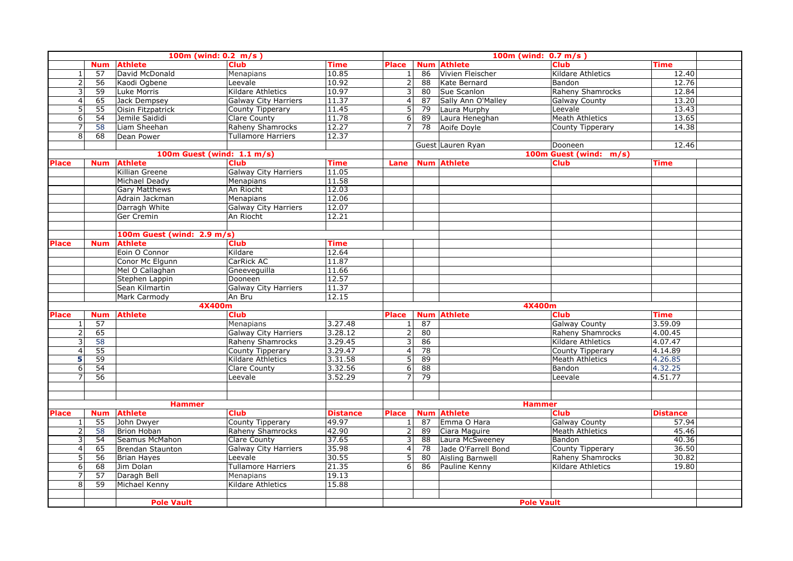|                |                 | 100m (wind: $0.2 \, m/s$ ) |                             |                 |                         |                 | 100m (wind: $0.7 m/s$ ) |                         |                 |  |
|----------------|-----------------|----------------------------|-----------------------------|-----------------|-------------------------|-----------------|-------------------------|-------------------------|-----------------|--|
|                | <b>Num</b>      | <b>Athlete</b>             | <b>Club</b>                 | <b>Time</b>     | Place                   |                 | <b>Num Athlete</b>      | <b>Club</b>             | <b>Time</b>     |  |
| 1              | 57              | David McDonald             | Menapians                   | 10.85           | $\mathbf{1}$            | 86              | Vivien Fleischer        | Kildare Athletics       | 12.40           |  |
| $\overline{2}$ | 56              | Kaodi Ogbene               | Leevale                     | 10.92           | 2                       | 88              | Kate Bernard            | Bandon                  | 12.76           |  |
| 3              | 59              | Luke Morris                | Kildare Athletics           | 10.97           | 3                       | 80              | Sue Scanlon             | Raheny Shamrocks        | 12.84           |  |
| $\overline{4}$ | 65              | Jack Dempsey               | <b>Galway City Harriers</b> | 11.37           | 4                       | 87              | Sally Ann O'Malley      | <b>Galway County</b>    | 13.20           |  |
| 5              | 55              | Oisin Fitzpatrick          | <b>County Tipperary</b>     | 11.45           | 5                       | 79              | Laura Murphy            | Leevale                 | 13.43           |  |
| 6              | 54              | Jemile Saididi             | Clare County                | 11.78           | 6                       | 89              | Laura Heneghan          | <b>Meath Athletics</b>  | 13.65           |  |
| $\overline{7}$ | 58              | Liam Sheehan               | Raheny Shamrocks            | 12.27           | $\overline{7}$          | 78              | Aoife Doyle             | County Tipperary        | 14.38           |  |
| 8              | 68              | Dean Power                 | Tullamore Harriers          | 12.37           |                         |                 |                         |                         |                 |  |
|                |                 |                            |                             |                 |                         |                 | Guest Lauren Ryan       | Dooneen                 | 12.46           |  |
|                |                 | 100m Guest (wind: 1.1 m/s) |                             |                 |                         |                 |                         | 100m Guest (wind: m/s)  |                 |  |
| <b>Place</b>   | <b>Num</b>      | <b>Athlete</b>             | <b>Club</b>                 | <b>Time</b>     | Lane                    |                 | <b>Num Athlete</b>      | <b>Club</b>             | Time            |  |
|                |                 | Killian Greene             | <b>Galway City Harriers</b> | 11.05           |                         |                 |                         |                         |                 |  |
|                |                 | Michael Deady              | <b>Menapians</b>            | 11.58           |                         |                 |                         |                         |                 |  |
|                |                 | <b>Gary Matthews</b>       | An Riocht                   | 12.03           |                         |                 |                         |                         |                 |  |
|                |                 | Adrain Jackman             | Menapians                   | 12.06           |                         |                 |                         |                         |                 |  |
|                |                 | Darragh White              | <b>Galway City Harriers</b> | 12.07           |                         |                 |                         |                         |                 |  |
|                |                 | Ger Cremin                 | An Riocht                   | 12.21           |                         |                 |                         |                         |                 |  |
|                |                 |                            |                             |                 |                         |                 |                         |                         |                 |  |
|                |                 | 100m Guest (wind: 2.9 m/s) |                             |                 |                         |                 |                         |                         |                 |  |
| <b>Place</b>   | <b>Num</b>      | <b>Athlete</b>             | <b>Club</b>                 | <b>Time</b>     |                         |                 |                         |                         |                 |  |
|                |                 | Eoin O Connor              | Kildare                     | 12.64           |                         |                 |                         |                         |                 |  |
|                |                 | Conor Mc Elgunn            | CarRick AC                  | 11.87           |                         |                 |                         |                         |                 |  |
|                |                 | Mel O Callaghan            | Gneeveguilla                | 11.66           |                         |                 |                         |                         |                 |  |
|                |                 | Stephen Lappin             | Dooneen                     | 12.57           |                         |                 |                         |                         |                 |  |
|                |                 | Sean Kilmartin             | <b>Galway City Harriers</b> | 11.37           |                         |                 |                         |                         |                 |  |
|                |                 | Mark Carmody               | An Bru                      | 12.15           |                         |                 |                         |                         |                 |  |
|                |                 | 4X400m                     |                             |                 |                         |                 |                         | 4X400m                  |                 |  |
| <b>Place</b>   | <b>Num</b>      | <b>Athlete</b>             | <b>Club</b>                 |                 | <b>Place</b>            | <b>Num</b>      | <b>Athlete</b>          | <b>Club</b>             | <b>Time</b>     |  |
| $\mathbf{1}$   | 57              |                            | <b>Menapians</b>            | 3.27.48         | 1                       | 87              |                         | <b>Galway County</b>    | 3.59.09         |  |
| $\overline{2}$ | 65              |                            | <b>Galway City Harriers</b> | 3.28.12         | $\overline{2}$          | 80              |                         | Raheny Shamrocks        | 4.00.45         |  |
| 3              | 58              |                            | <b>Raheny Shamrocks</b>     | 3.29.45         | 3                       | 86              |                         | Kildare Athletics       | 4.07.47         |  |
| $\overline{4}$ | $\overline{55}$ |                            | <b>County Tipperary</b>     | 3.29.47         | $\overline{\mathbf{4}}$ | $\overline{78}$ |                         | <b>County Tipperary</b> | 4.14.89         |  |
| 5              | 59              |                            | Kildare Athletics           | 3.31.58         | 5                       | 89              |                         | <b>Meath Athletics</b>  | 4.26.85         |  |
| 6              | $\overline{54}$ |                            | <b>Clare County</b>         | 3.32.56         | 6                       | 88              |                         | Bandon                  | 4.32.25         |  |
| $\overline{7}$ | 56              |                            | Leevale                     | 3.52.29         | 7                       | 79              |                         | Leevale                 | 4.51.77         |  |
|                |                 |                            |                             |                 |                         |                 |                         |                         |                 |  |
|                |                 |                            |                             |                 |                         |                 |                         |                         |                 |  |
|                |                 | <b>Hammer</b>              |                             |                 |                         |                 |                         | <b>Hammer</b>           |                 |  |
| <b>Place</b>   | <b>Num</b>      | <b>Athlete</b>             | <b>Club</b>                 | <b>Distance</b> | Place                   | <b>Num</b>      | <b>Athlete</b>          | <b>Club</b>             | <b>Distance</b> |  |
| $\mathbf{1}$   | 55              | John Dwyer                 | County Tipperary            | 49.97           | $\mathbf{1}$            | 87              | Emma O Hara             | <b>Galway County</b>    | 57.94           |  |
| $\overline{2}$ | 58              | <b>Brion Hoban</b>         | Raheny Shamrocks            | 42.90           | 2                       | 89              | Ciara Maguire           | <b>Meath Athletics</b>  | 45.46           |  |
| 3              | 54              | Seamus McMahon             | Clare County                | 37.65           | 3                       | $\overline{88}$ | Laura McSweeney         | Bandon                  | 40.36           |  |
| $\overline{4}$ | 65              | Brendan Staunton           | <b>Galway City Harriers</b> | 35.98           | $\vert 4 \vert$         | $\overline{78}$ | Jade O'Farrell Bond     | County Tipperary        | 36.50           |  |
| 5              | 56              | Brian Hayes                | Leevale                     | 30.55           | 5 <sup>1</sup>          | 80              | Aisling Barnwell        | Raheny Shamrocks        | 30.82           |  |
| 6              | 68              | Jim Dolan                  | <b>Tullamore Harriers</b>   | 21.35           | $6 \mid$                | 86              | Pauline Kenny           | Kildare Athletics       | 19.80           |  |
| 7              | 57              | Daragh Bell                | Menapians                   | 19.13           |                         |                 |                         |                         |                 |  |
| 8              | 59              | Michael Kenny              | Kildare Athletics           | 15.88           |                         |                 |                         |                         |                 |  |
|                |                 |                            |                             |                 |                         |                 |                         |                         |                 |  |
|                |                 | <b>Pole Vault</b>          |                             |                 |                         |                 |                         | <b>Pole Vault</b>       |                 |  |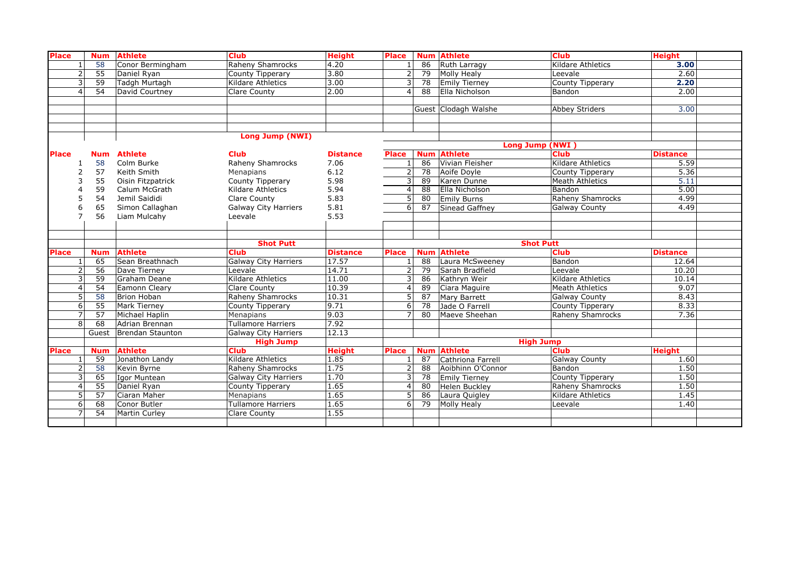| <b>Place</b> |                | <b>Num</b>      | <b>Athlete</b>       | <b>Club</b>                 | <b>Height</b>   | <b>Place</b>   |                 | <b>Num Athlete</b>   | <b>Club</b>              | <b>Height</b>   |  |
|--------------|----------------|-----------------|----------------------|-----------------------------|-----------------|----------------|-----------------|----------------------|--------------------------|-----------------|--|
|              | $\overline{1}$ | 58              | Conor Bermingham     | Raheny Shamrocks            | 4.20            |                | 86              | Ruth Larragy         | <b>Kildare Athletics</b> | 3.00            |  |
|              | $\overline{2}$ | $\overline{55}$ | Daniel Ryan          | County Tipperary            | 3.80            | $\overline{2}$ | 79              | Molly Healy          | Leevale                  | 2,60            |  |
|              | 3              | 59              | Tadgh Murtagh        | Kildare Athletics           | 3.00            |                | 78              | Emily Tierney        | County Tipperary         | 2.20            |  |
|              | $\Delta$       | 54              | David Courtney       | Clare County                | 2.00            | 4              | 88              | Ella Nicholson       | Bandon                   | 2.00            |  |
|              |                |                 |                      |                             |                 |                |                 |                      |                          |                 |  |
|              |                |                 |                      |                             |                 |                |                 | Guest Clodagh Walshe | Abbey Striders           | 3.00            |  |
|              |                |                 |                      |                             |                 |                |                 |                      |                          |                 |  |
|              |                |                 |                      |                             |                 |                |                 |                      |                          |                 |  |
|              |                |                 |                      | Long Jump (NWI)             |                 |                |                 |                      |                          |                 |  |
|              |                |                 |                      |                             |                 |                |                 | Long Jump (NWI)      |                          |                 |  |
| <b>Place</b> |                | <b>Num</b>      | <b>Athlete</b>       | <b>Club</b>                 | <b>Distance</b> | <b>Place</b>   | <b>Num</b>      | <b>Athlete</b>       | <b>Club</b>              | <b>Distance</b> |  |
|              |                | 58              | Colm Burke           | Raheny Shamrocks            | 7.06            |                | 86              | Vivian Fleisher      | <b>Kildare Athletics</b> | 5.59            |  |
|              | $\overline{2}$ | 57              | Keith Smith          | Menapians                   | 6.12            | 2              | 78              | Aoife Doyle          | County Tipperary         | 5.36            |  |
|              | 3              | 55              | Oisin Fitzpatrick    | County Tipperary            | 5.98            | 3              | 89              | Karen Dunne          | <b>Meath Athletics</b>   | 5.11            |  |
|              | 4              | 59              | Calum McGrath        | Kildare Athletics           | 5.94            | 4              | 88              | Ella Nicholson       | Bandon                   | 5.00            |  |
|              | 5              | 54              | Jemil Saididi        | Clare County                | 5.83            | 5              | 80              | <b>Emily Burns</b>   | <b>Raheny Shamrocks</b>  | 4.99            |  |
|              | 6              | 65              | Simon Callaghan      | <b>Galway City Harriers</b> | 5.81            | 6              | 87              | Sinead Gaffney       | <b>Galway County</b>     | 4.49            |  |
|              |                | 56              | Liam Mulcahy         | Leevale                     | 5.53            |                |                 |                      |                          |                 |  |
|              |                |                 |                      |                             |                 |                |                 |                      |                          |                 |  |
|              |                |                 |                      |                             |                 |                |                 |                      |                          |                 |  |
|              |                |                 |                      | <b>Shot Putt</b>            |                 |                |                 | <b>Shot Putt</b>     |                          |                 |  |
| <b>Place</b> |                | <b>Num</b>      | <b>Athlete</b>       | <b>Club</b>                 | <b>Distance</b> | <b>Place</b>   | <b>Num</b>      | <b>Athlete</b>       | <b>Club</b>              | <b>Distance</b> |  |
|              | $\mathbf{1}$   | 65              | Sean Breathnach      | Galway City Harriers        | 17.57           |                | $\overline{88}$ | Laura McSweeney      | Bandon                   | 12.64           |  |
|              | $\overline{2}$ | 56              | Dave Tierney         | Leevale                     | 14.71           |                | 79              | Sarah Bradfield      | Leevale                  | 10.20           |  |
|              | 3              | 59              | Graham Deane         | Kildare Athletics           | 11.00           |                | 86              | Kathryn Weir         | Kildare Athletics        | 10.14           |  |
|              | $\overline{4}$ | 54              | Eamonn Cleary        | Clare County                | 10.39           | 4              | 89              | Ciara Maguire        | <b>Meath Athletics</b>   | 9.07            |  |
|              | 5              | 58              | Brion Hoban          | Raheny Shamrocks            | 10.31           | 5              | 87              | Mary Barrett         | <b>Galway County</b>     | 8.43            |  |
|              | 6              | 55              | <b>Mark Tierney</b>  | County Tipperary            | 9.71            | 6              | 78              | Jade O Farrell       | County Tipperary         | 8.33            |  |
|              | $\overline{7}$ | 57              | Michael Haplin       | Menapians                   | 9.03            |                | 80              | Maeve Sheehan        | Raheny Shamrocks         | 7.36            |  |
|              | 8              | 68              | Adrian Brennan       | <b>Tullamore Harriers</b>   | 7.92            |                |                 |                      |                          |                 |  |
|              |                | Guest           | Brendan Staunton     | <b>Galway City Harriers</b> | 12.13           |                |                 |                      |                          |                 |  |
|              |                |                 |                      | <b>High Jump</b>            |                 |                |                 | <b>High Jump</b>     |                          |                 |  |
| <b>Place</b> |                | <b>Num</b>      | <b>Athlete</b>       | <b>Club</b>                 | <b>Height</b>   | <b>Place</b>   | <b>Num</b>      | <b>Athlete</b>       | <b>Club</b>              | <b>Height</b>   |  |
|              | $\overline{1}$ | $\overline{59}$ | Jonathon Landy       | Kildare Athletics           | 1.85            |                | 87              | Cathriona Farrell    | Galway County            | 1.60            |  |
|              | $\overline{2}$ | 58              | Kevin Byrne          | Raheny Shamrocks            | 1.75            | $\overline{2}$ | 88              | Aoibhinn O'Connor    | Bandon                   | 1.50            |  |
|              | 3              | 65              | Igor Muntean         | Galway City Harriers        | 1.70            | 3              | 78              | <b>Emily Tierney</b> | County Tipperary         | 1.50            |  |
|              | $\overline{4}$ | $\overline{55}$ | Daniel Ryan          | County Tipperary            | 1.65            | $\overline{4}$ | 80              | Helen Buckley        | Raheny Shamrocks         | 1.50            |  |
|              | 5              | 57              | Ciaran Maher         | Menapians                   | 1.65            | 5              | 86              | Laura Quigley        | Kildare Athletics        | 1.45            |  |
|              | 6              | 68              | Conor Butler         | <b>Tullamore Harriers</b>   | 1.65            | 6 <sup>1</sup> | 79              | <b>Molly Healy</b>   | Leevale                  | 1.40            |  |
|              | $\overline{ }$ | $\overline{54}$ | <b>Martin Curley</b> | Clare County                | 1.55            |                |                 |                      |                          |                 |  |
|              |                |                 |                      |                             |                 |                |                 |                      |                          |                 |  |